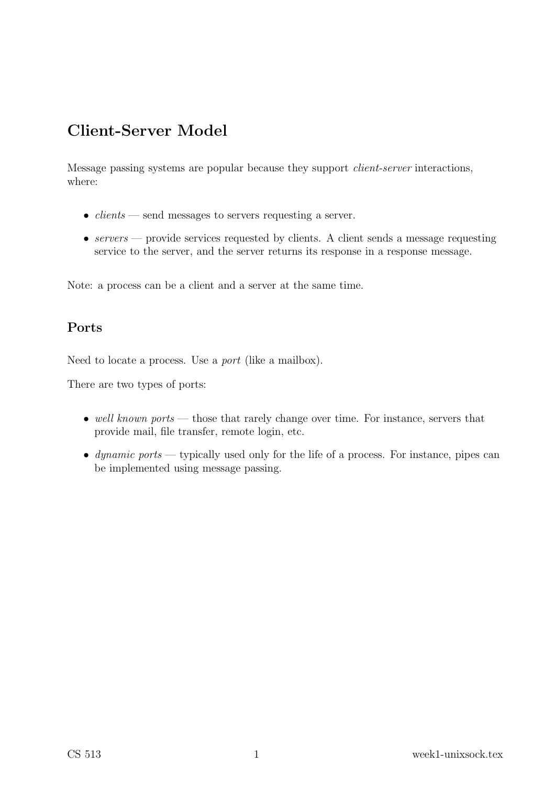# Client-Server Model

Message passing systems are popular because they support client-server interactions, where:

- $clients$  send messages to servers requesting a server.
- $servers$  provide services requested by clients. A client sends a message requesting service to the server, and the server returns its response in a response message.

Note: a process can be a client and a server at the same time.

#### Ports

Need to locate a process. Use a port (like a mailbox).

There are two types of ports:

- well known ports those that rarely change over time. For instance, servers that provide mail, file transfer, remote login, etc.
- dynamic ports typically used only for the life of a process. For instance, pipes can be implemented using message passing.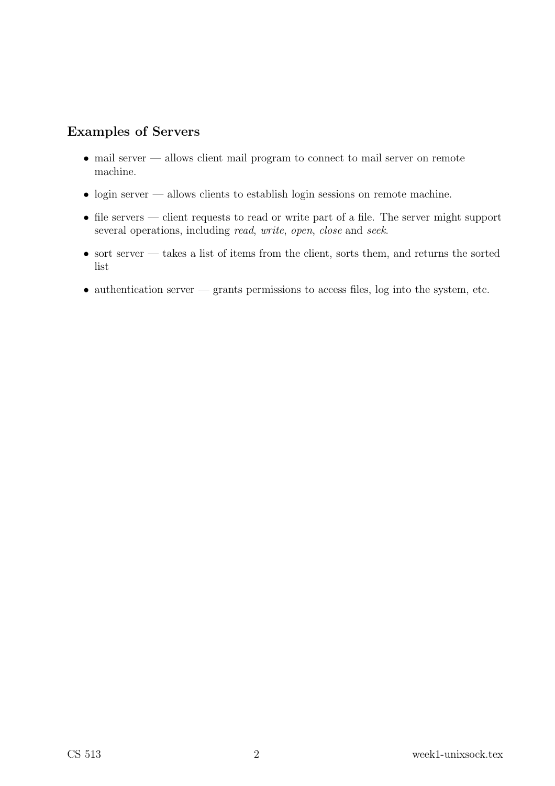#### Examples of Servers

- mail server allows client mail program to connect to mail server on remote machine.
- login server allows clients to establish login sessions on remote machine.
- file servers client requests to read or write part of a file. The server might support several operations, including *read, write, open, close* and *seek.*
- $\bullet\,$  sort server takes a list of items from the client, sorts them, and returns the sorted list
- $\bullet$  authentication server grants permissions to access files, log into the system, etc.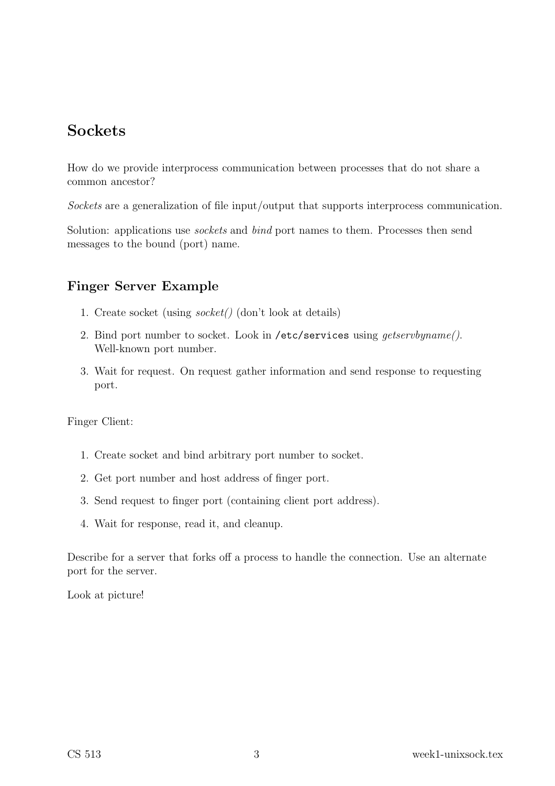## Sockets

How do we provide interprocess communication between processes that do not share a common ancestor?

Sockets are a generalization of file input/output that supports interprocess communication.

Solution: applications use *sockets* and *bind* port names to them. Processes then send messages to the bound (port) name.

### Finger Server Example

- 1. Create socket (using socket() (don't look at details)
- 2. Bind port number to socket. Look in /etc/services using getservbyname(). Well-known port number.
- 3. Wait for request. On request gather information and send response to requesting port.

Finger Client:

- 1. Create socket and bind arbitrary port number to socket.
- 2. Get port number and host address of finger port.
- 3. Send request to finger port (containing client port address).
- 4. Wait for response, read it, and cleanup.

Describe for a server that forks off a process to handle the connection. Use an alternate port for the server.

Look at picture!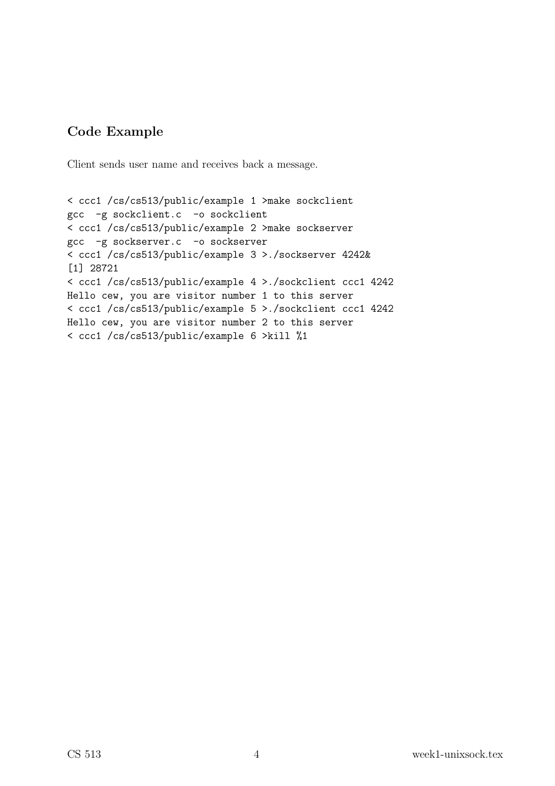### Code Example

Client sends user name and receives back a message.

< ccc1 /cs/cs513/public/example 1 >make sockclient gcc -g sockclient.c -o sockclient < ccc1 /cs/cs513/public/example 2 >make sockserver gcc -g sockserver.c -o sockserver < ccc1 /cs/cs513/public/example 3 >./sockserver 4242& [1] 28721 < ccc1 /cs/cs513/public/example 4 >./sockclient ccc1 4242 Hello cew, you are visitor number 1 to this server < ccc1 /cs/cs513/public/example 5 >./sockclient ccc1 4242 Hello cew, you are visitor number 2 to this server < ccc1 /cs/cs513/public/example 6 >kill %1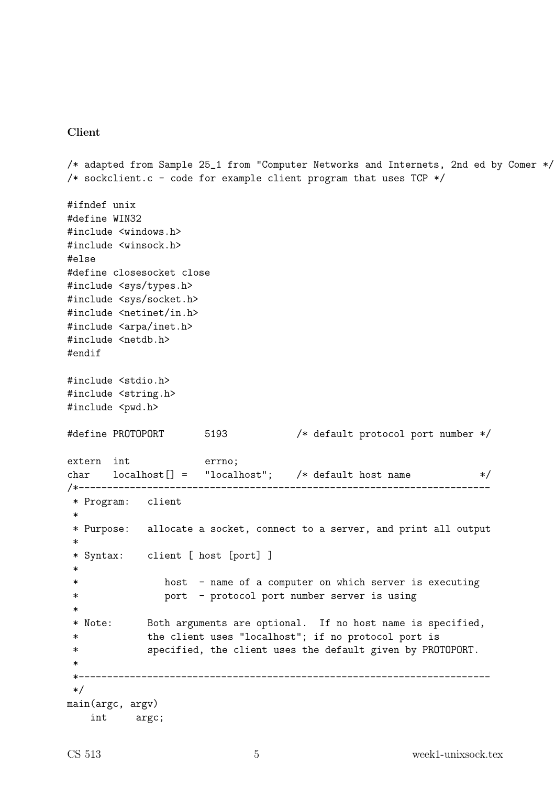#### Client

```
/* adapted from Sample 25_1 from "Computer Networks and Internets, 2nd ed by Comer */
/* sockclient.c - code for example client program that uses TCP */#ifndef unix
#define WIN32
#include <windows.h>
#include <winsock.h>
#else
#define closesocket close
#include <sys/types.h>
#include <sys/socket.h>
#include <netinet/in.h>
#include <arpa/inet.h>
#include <netdb.h>
#endif
#include <stdio.h>
#include <string.h>
#include <pwd.h>
#define PROTOPORT 5193 /* default protocol port number */
extern int errno;
char localhost[] = "localhost"; /* default host name */
/*------------------------------------------------------------------------
* Program: client
*
 * Purpose: allocate a socket, connect to a server, and print all output
 *
* Syntax: client [ host [port] ]
 *
 * host - name of a computer on which server is executing
 * port - protocol port number server is using
 *
 * Note: Both arguments are optional. If no host name is specified,
 * the client uses "localhost"; if no protocol port is
 * specified, the client uses the default given by PROTOPORT.
 *
 *------------------------------------------------------------------------
*/
main(argc, argv)
   int argc;
```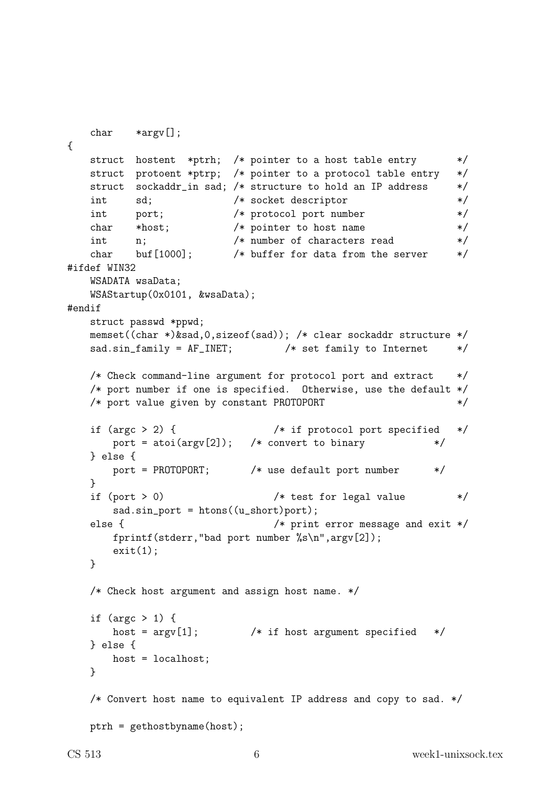```
char *argv[];
{
   struct hostent *ptrh; /* pointer to a host table entry */
   struct protoent *ptrp; /* pointer to a protocol table entry */
   struct sockaddr_in sad; /* structure to hold an IP address */
   int sd; /* socket descriptor */
   int port; /* protocol port number */
   char *host; /* pointer to host name */
   int n; /* number of characters read */char buf[1000]; /* buffer for data from the server */
#ifdef WIN32
   WSADATA wsaData;
   WSAStartup(0x0101, &wsaData);
#endif
   struct passwd *ppwd;
   memset((char *)&sad,0,sizeof(sad)); /* clear sockaddr structure */
   sad.sin_family = AF_INET; \frac{1}{2} /* set family to Internet */
   /* Check command-line argument for protocol port and extract *//* port number if one is specified. Otherwise, use the default */
   /* port value given by constant PROTOPORT */
   if (argc > 2) { /* if protocol port specified */
      port = atoi(argv[2]); /* convert to binary */} else {
      port = PROTOPORT; /* use default port number */
   }
   if (port > 0) /* test for legal value */
      sad.sin-port = <math>htons((u_short)port);else { /* print error message and exit */
      fprintf(stderr,"bad port number \sqrt{k}s\n",argv[2]);
      exit(1):}
   /* Check host argument and assign host name. */
   if (argc > 1) {
      host = \arg v[1]; /* if host argument specified */} else {
      host = localhost;
   }
   /* Convert host name to equivalent IP address and copy to sad. */
   ptrh = gethostbyname(host);
```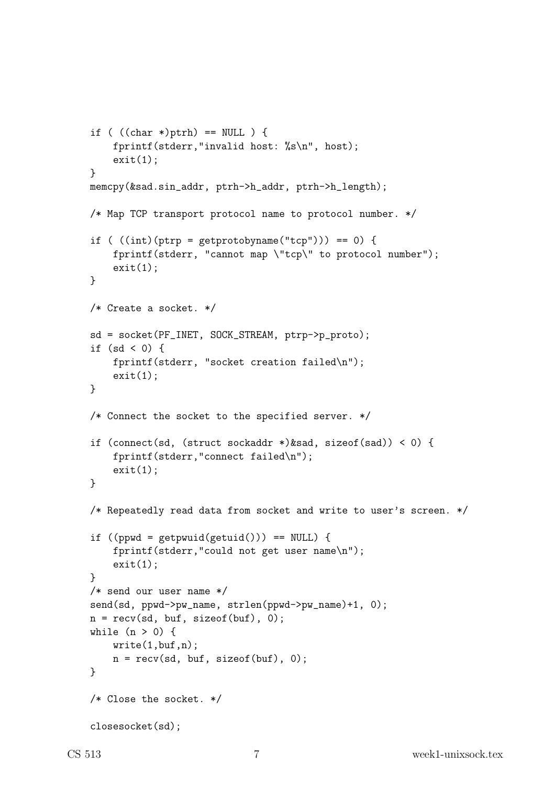```
if ( ((char *)ptrh) == NULL ) {
    fprintf(stderr,"invalid host: %s\n", host);
    exit(1):}
memcpy(&sad.sin_addr, ptrh->h_addr, ptrh->h_length);
/* Map TCP transport protocol name to protocol number. */
if ( ((int)(ptrp = getprotobyname("tcp")) = 0) {
    fprintf(stderr, "cannot map \"tcp\" to protocol number");
    exit(1);
}
/* Create a socket. */
sd = socket(PF_INET, SOCK_STREAM, ptrp->p_proto);
if (sd < 0) {
    fprintf(stderr, "socket creation failed\n");
    exit(1):}
/* Connect the socket to the specified server. */
if (connect(sd, (struct sockaddr *)&sad, sizeof(sad)) < 0) {
    fprintf(stderr,"connect failed\n");
    exit(1):}
/* Repeatedly read data from socket and write to user's screen. */
if ((ppwd = getpwuid(getuid))) == NULL) {
    fprintf(stderr,"could not get user name\n");
    exit(1);}
/* send our user name */
send(sd, ppwd->pw_name, strlen(ppwd->pw_name)+1, 0);
n = \text{recv}(sd, but, sizeof(buf), 0);while (n > 0) {
    write(1, but, n);n = \text{recv}(sd, but, sizeof(buf), 0);}
/* Close the socket. */
closesocket(sd);
```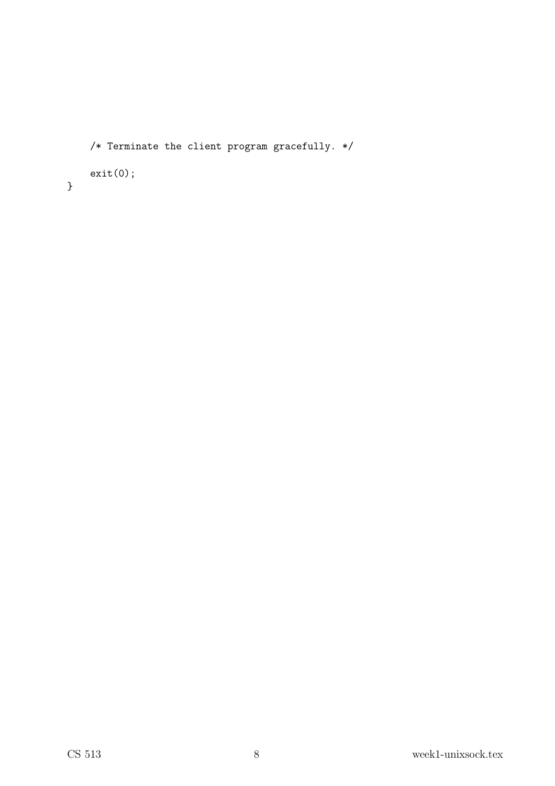```
/* Terminate the client program gracefully. */
exit(0);
```
}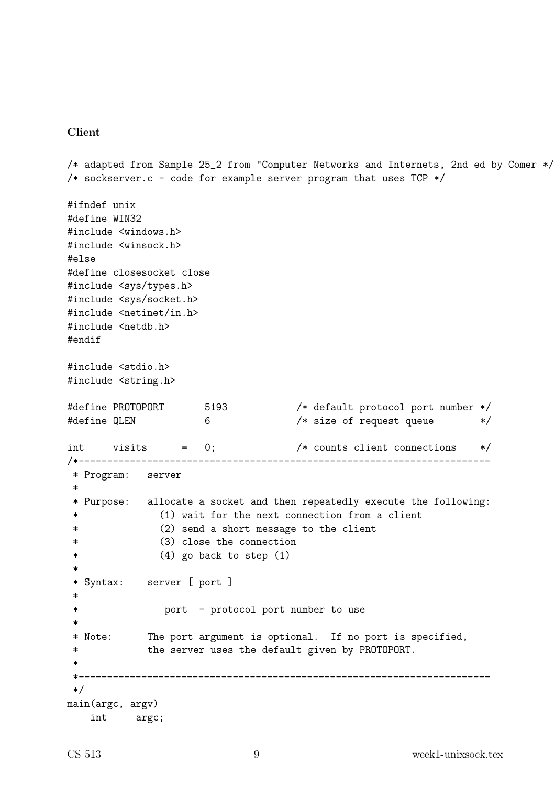#### Client

```
/* adapted from Sample 25_2 from "Computer Networks and Internets, 2nd ed by Comer */
/* sockserver.c - code for example server program that uses TCP */
#ifndef unix
#define WIN32
#include <windows.h>
#include <winsock.h>
#else
#define closesocket close
#include <sys/types.h>
#include <sys/socket.h>
#include <netinet/in.h>
#include <netdb.h>
#endif
#include <stdio.h>
#include <string.h>
#define PROTOPORT 5193 /* default protocol port number */
#define QLEN 6 6 /* size of request queue */
int visits = 0; /* counts client connections */
/*------------------------------------------------------------------------
* Program: server
*
* Purpose: allocate a socket and then repeatedly execute the following:
* (1) wait for the next connection from a client
* (2) send a short message to the client
* (3) close the connection
* (4) go back to step (1)
 *
* Syntax: server [ port ]
 *
* port - protocol port number to use
 *
* Note: The port argument is optional. If no port is specified,
            the server uses the default given by PROTOPORT.
 *
*------------------------------------------------------------------------
*/
main(argc, argv)
   int argc;
```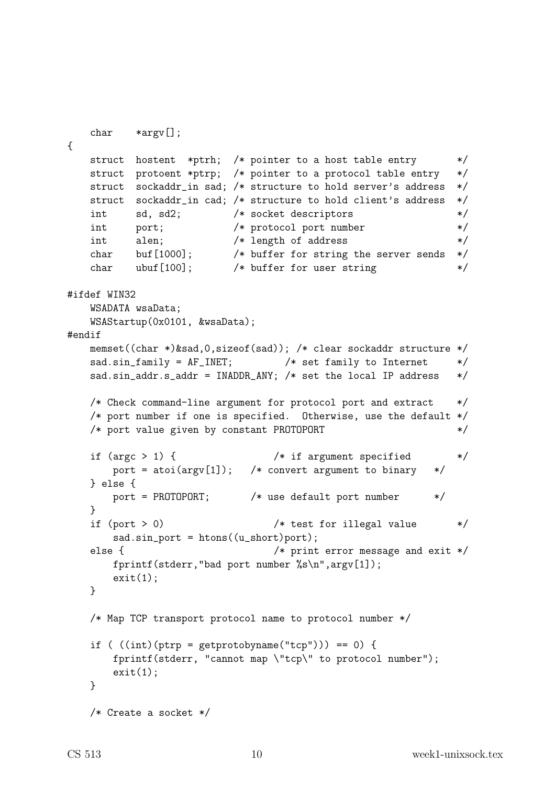```
char *argv[];
{
   struct hostent *ptrh; /* pointer to a host table entry */
   struct protoent *ptrp; /* pointer to a protocol table entry */
   struct sockaddr_in sad; /* structure to hold server's address */
   struct sockaddr_in cad; /* structure to hold client's address */
   int sd, sd2; /* socket descriptors */
   int port; /* protocol port number */
   int alen; /* length of address */char buf[1000]; /* buffer for string the server sends */
   char burfrood; The burst for sering the server sends the dark ubuf [100]; \sqrt{\frac{1}{2}} where for user string \sqrt{\frac{1}{2}}#ifdef WIN32
   WSADATA wsaData;
   WSAStartup(0x0101, &wsaData);
#endif
   memset((char *)&sad,0,sizeof(sad)); /* clear sockaddr structure */
   sad.sin_family = AF_INET; /* set family to Internet */sad.sin_addr.s_addr = INADDR_ANY; /* set the local IP address *//* Check command-line argument for protocol port and extract */
   /* port number if one is specified. Otherwise, use the default */
   /* port value given by constant PROTOPORT */
   if (argc > 1) { /* if argument specified */port = atoi(argv[1]); /* convert argument to binary */} else {
       port = PROTOPORT; /* use default port number */
   }
   if (port > 0) /* test for illegal value */sad.sin-port = <math>htons((u_short)port);else { /* print error message and exit */
       fprintf(stderr,"bad port number %s\n",argv[1]);
       exit(1):}
   /* Map TCP transport protocol name to protocol number */
   if ( ((int)(ptrp = getprotobyname("tcp")) = 0) {
       fprintf(stderr, "cannot map \"tcp\" to protocol number");
       exit(1):}
   /* Create a socket */
```